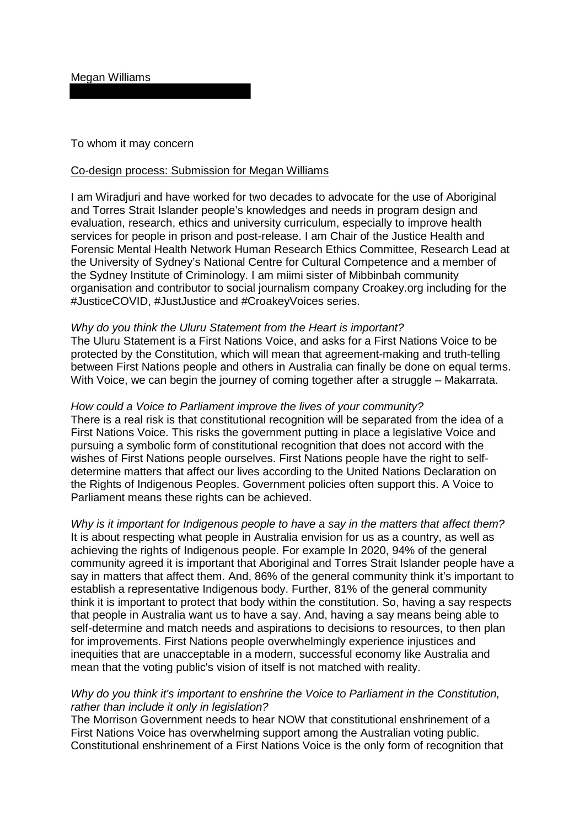To whom it may concern

## Co-design process: Submission for Megan Williams

I am Wiradjuri and have worked for two decades to advocate for the use of Aboriginal and Torres Strait Islander people's knowledges and needs in program design and evaluation, research, ethics and university curriculum, especially to improve health services for people in prison and post-release. I am Chair of the Justice Health and Forensic Mental Health Network Human Research Ethics Committee, Research Lead at the University of Sydney's National Centre for Cultural Competence and a member of the Sydney Institute of Criminology. I am miimi sister of Mibbinbah community organisation and contributor to social journalism company Croakey.org including for the #JusticeCOVID, #JustJustice and #CroakeyVoices series.

## *Why do you think the Uluru Statement from the Heart is important?*

The Uluru Statement is a First Nations Voice, and asks for a First Nations Voice to be protected by the Constitution, which will mean that agreement-making and truth-telling between First Nations people and others in Australia can finally be done on equal terms. With Voice, we can begin the journey of coming together after a struggle – Makarrata.

## *How could a Voice to Parliament improve the lives of your community?*

There is a real risk is that constitutional recognition will be separated from the idea of a First Nations Voice. This risks the government putting in place a legislative Voice and pursuing a symbolic form of constitutional recognition that does not accord with the wishes of First Nations people ourselves. First Nations people have the right to selfdetermine matters that affect our lives according to the United Nations Declaration on the Rights of Indigenous Peoples. Government policies often support this. A Voice to Parliament means these rights can be achieved.

*Why is it important for Indigenous people to have a say in the matters that affect them?* It is about respecting what people in Australia envision for us as a country, as well as achieving the rights of Indigenous people. For example In 2020, 94% of the general community agreed it is important that Aboriginal and Torres Strait Islander people have a say in matters that affect them. And, 86% of the general community think it's important to establish a representative Indigenous body. Further, 81% of the general community think it is important to protect that body within the constitution. So, having a say respects that people in Australia want us to have a say. And, having a say means being able to self-determine and match needs and aspirations to decisions to resources, to then plan for improvements. First Nations people overwhelmingly experience injustices and inequities that are unacceptable in a modern, successful economy like Australia and mean that the voting public's vision of itself is not matched with reality.

## *Why do you think it's important to enshrine the Voice to Parliament in the Constitution, rather than include it only in legislation?*

The Morrison Government needs to hear NOW that constitutional enshrinement of a First Nations Voice has overwhelming support among the Australian voting public. Constitutional enshrinement of a First Nations Voice is the only form of recognition that